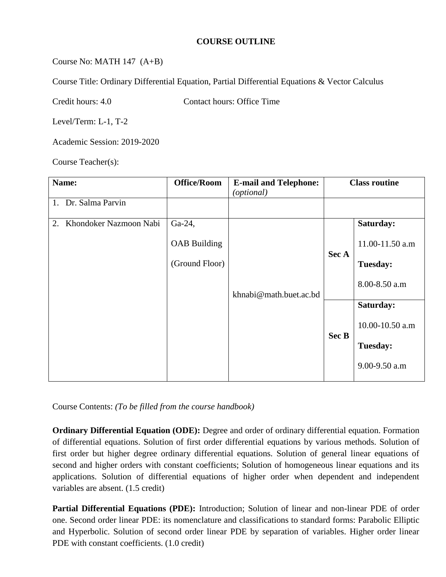#### **COURSE OUTLINE**

### Course No: MATH 147 (A+B)

Course Title: Ordinary Differential Equation, Partial Differential Equations & Vector Calculus

Credit hours: 4.0 Contact hours: Office Time

Level/Term: L-1, T-2

Academic Session: 2019-2020

Course Teacher(s):

| Name:                        | <b>Office/Room</b>  | <b>E-mail and Telephone:</b><br>(optional) | <b>Class routine</b> |                 |
|------------------------------|---------------------|--------------------------------------------|----------------------|-----------------|
| 1. Dr. Salma Parvin          |                     |                                            |                      |                 |
| Khondoker Nazmoon Nabi<br>2. | Ga-24,              |                                            |                      | Saturday:       |
|                              | <b>OAB</b> Building |                                            | Sec A<br>Sec B       | 11.00-11.50 a.m |
|                              | (Ground Floor)      |                                            |                      | <b>Tuesday:</b> |
|                              |                     | khnabi@math.buet.ac.bd                     |                      | 8.00-8.50 a.m   |
|                              |                     |                                            |                      | Saturday:       |
|                              |                     |                                            |                      | 10.00-10.50 a.m |
|                              |                     |                                            |                      | <b>Tuesday:</b> |
|                              |                     |                                            |                      | 9.00-9.50 a.m   |

Course Contents: *(To be filled from the course handbook)*

**Ordinary Differential Equation (ODE):** Degree and order of ordinary differential equation. Formation of differential equations. Solution of first order differential equations by various methods. Solution of first order but higher degree ordinary differential equations. Solution of general linear equations of second and higher orders with constant coefficients; Solution of homogeneous linear equations and its applications. Solution of differential equations of higher order when dependent and independent variables are absent. (1.5 credit)

**Partial Differential Equations (PDE):** Introduction; Solution of linear and non-linear PDE of order one. Second order linear PDE: its nomenclature and classifications to standard forms: Parabolic Elliptic and Hyperbolic. Solution of second order linear PDE by separation of variables. Higher order linear PDE with constant coefficients. (1.0 credit)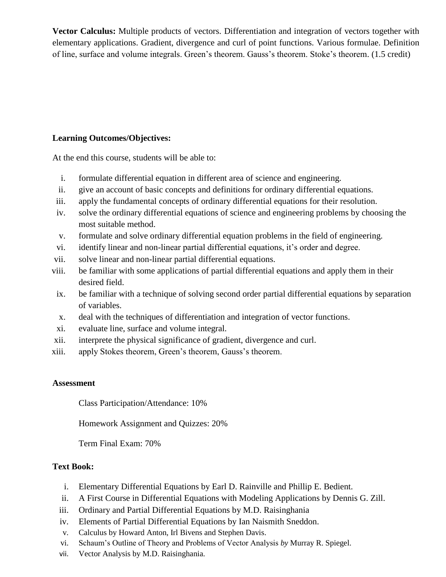**Vector Calculus:** Multiple products of vectors. Differentiation and integration of vectors together with elementary applications. Gradient, divergence and curl of point functions. Various formulae. Definition of line, surface and volume integrals. Green's theorem. Gauss's theorem. Stoke's theorem. (1.5 credit)

### **Learning Outcomes/Objectives:**

At the end this course, students will be able to:

- i. formulate differential equation in different area of science and engineering.
- ii. give an account of basic concepts and definitions for ordinary differential equations.
- iii. apply the fundamental concepts of ordinary differential equations for their resolution.
- iv. solve the ordinary differential equations of science and engineering problems by choosing the most suitable method.
- v. formulate and solve ordinary differential equation problems in the field of engineering.
- vi. identify linear and non-linear partial differential equations, it's order and degree.
- vii. solve linear and non-linear partial differential equations.
- viii. be familiar with some applications of partial differential equations and apply them in their desired field.
- ix. be familiar with a technique of solving second order partial differential equations by separation of variables.
- x. deal with the techniques of differentiation and integration of vector functions.
- xi. evaluate line, surface and volume integral.
- xii. interprete the physical significance of gradient, divergence and curl.
- xiii. apply Stokes theorem, Green's theorem, Gauss's theorem.

#### **Assessment**

Class Participation/Attendance: 10%

Homework Assignment and Quizzes: 20%

Term Final Exam: 70%

#### **Text Book:**

- i. Elementary Differential Equations by Earl D. Rainville and Phillip E. Bedient.
- ii. A First Course in Differential Equations with Modeling Applications by Dennis G. Zill.
- iii. Ordinary and Partial Differential Equations by M.D. Raisinghania
- iv. Elements of Partial Differential Equations by Ian Naismith Sneddon.
- v. Calculus by Howard Anton, Irl Bivens and Stephen Davis.
- vi. Schaum's Outline of Theory and Problems of Vector Analysis *by* Murray R. Spiegel.
- vii. Vector Analysis by M.D. Raisinghania.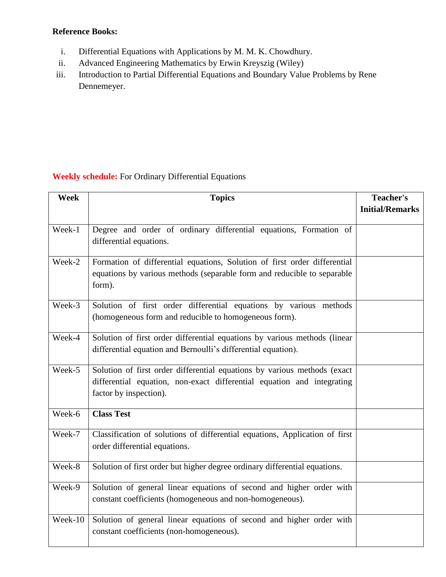## **Reference Books:**

- i. Differential Equations with Applications by M. M. K. Chowdhury.
- ii. Advanced Engineering Mathematics by Erwin Kreyszig (Wiley)
- iii. Introduction to Partial Differential Equations and Boundary Value Problems by Rene Dennemeyer.

## **Weekly schedule:** For Ordinary Differential Equations

| Week    | <b>Topics</b>                                                               | <b>Teacher's</b>       |
|---------|-----------------------------------------------------------------------------|------------------------|
|         |                                                                             | <b>Initial/Remarks</b> |
|         |                                                                             |                        |
| Week-1  | Degree and order of ordinary differential equations, Formation of           |                        |
|         | differential equations.                                                     |                        |
| Week-2  | Formation of differential equations, Solution of first order differential   |                        |
|         | equations by various methods (separable form and reducible to separable     |                        |
|         | form).                                                                      |                        |
| Week-3  | Solution of first order differential equations by various methods           |                        |
|         | (homogeneous form and reducible to homogeneous form).                       |                        |
| Week-4  | Solution of first order differential equations by various methods (linear   |                        |
|         | differential equation and Bernoulli's differential equation).               |                        |
| Week-5  | Solution of first order differential equations by various methods (exact    |                        |
|         | differential equation, non-exact differential equation and integrating      |                        |
|         | factor by inspection).                                                      |                        |
| Week-6  | <b>Class Test</b>                                                           |                        |
| Week-7  | Classification of solutions of differential equations, Application of first |                        |
|         | order differential equations.                                               |                        |
| Week-8  | Solution of first order but higher degree ordinary differential equations.  |                        |
| Week-9  | Solution of general linear equations of second and higher order with        |                        |
|         | constant coefficients (homogeneous and non-homogeneous).                    |                        |
| Week-10 | Solution of general linear equations of second and higher order with        |                        |
|         | constant coefficients (non-homogeneous).                                    |                        |
|         |                                                                             |                        |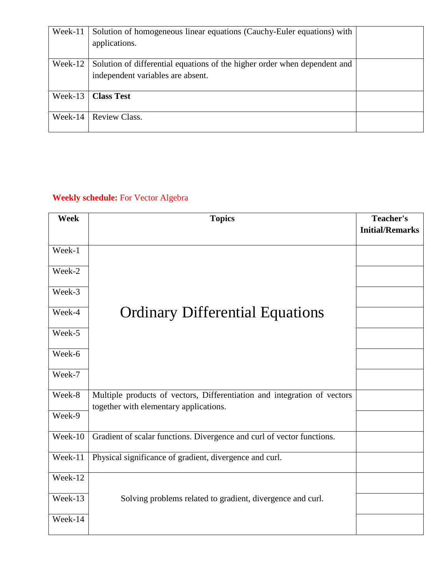| Week-11     | Solution of homogeneous linear equations (Cauchy-Euler equations) with<br>applications.                        |  |
|-------------|----------------------------------------------------------------------------------------------------------------|--|
| Week-12     | Solution of differential equations of the higher order when dependent and<br>independent variables are absent. |  |
| Week-13     | <b>Class Test</b>                                                                                              |  |
| Week-14 $ $ | Review Class.                                                                                                  |  |

# **Weekly schedule:** For Vector Algebra

| <b>Week</b> | <b>Topics</b>                                                                                                      | <b>Teacher's</b><br><b>Initial/Remarks</b> |
|-------------|--------------------------------------------------------------------------------------------------------------------|--------------------------------------------|
| Week-1      |                                                                                                                    |                                            |
| Week-2      |                                                                                                                    |                                            |
| Week-3      |                                                                                                                    |                                            |
| Week-4      | <b>Ordinary Differential Equations</b>                                                                             |                                            |
| Week-5      |                                                                                                                    |                                            |
| Week-6      |                                                                                                                    |                                            |
| Week-7      |                                                                                                                    |                                            |
| Week-8      | Multiple products of vectors, Differentiation and integration of vectors<br>together with elementary applications. |                                            |
| Week-9      |                                                                                                                    |                                            |
| Week-10     | Gradient of scalar functions. Divergence and curl of vector functions.                                             |                                            |
| Week-11     | Physical significance of gradient, divergence and curl.                                                            |                                            |
| Week-12     |                                                                                                                    |                                            |
| Week-13     | Solving problems related to gradient, divergence and curl.                                                         |                                            |
| Week-14     |                                                                                                                    |                                            |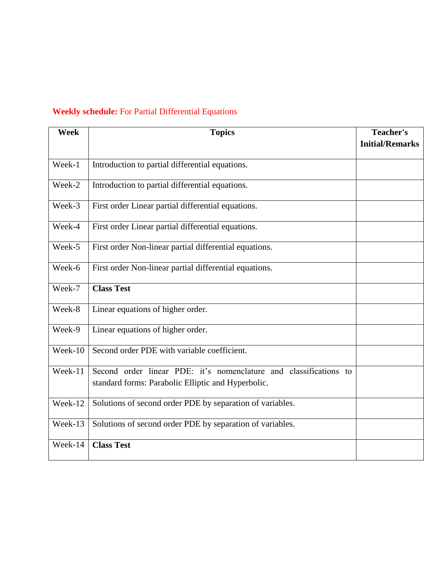## **Weekly schedule:** For Partial Differential Equations

| <b>Week</b> | <b>Topics</b>                                                     | <b>Teacher's</b><br><b>Initial/Remarks</b> |
|-------------|-------------------------------------------------------------------|--------------------------------------------|
| Week-1      |                                                                   |                                            |
|             | Introduction to partial differential equations.                   |                                            |
| Week-2      | Introduction to partial differential equations.                   |                                            |
| Week-3      | First order Linear partial differential equations.                |                                            |
| Week-4      | First order Linear partial differential equations.                |                                            |
| Week-5      | First order Non-linear partial differential equations.            |                                            |
| Week-6      | First order Non-linear partial differential equations.            |                                            |
| Week-7      | <b>Class Test</b>                                                 |                                            |
| Week-8      | Linear equations of higher order.                                 |                                            |
| Week-9      | Linear equations of higher order.                                 |                                            |
| Week-10     | Second order PDE with variable coefficient.                       |                                            |
| Week-11     | Second order linear PDE: it's nomenclature and classifications to |                                            |
|             | standard forms: Parabolic Elliptic and Hyperbolic.                |                                            |
| Week-12     | Solutions of second order PDE by separation of variables.         |                                            |
| Week-13     | Solutions of second order PDE by separation of variables.         |                                            |
| Week-14     | <b>Class Test</b>                                                 |                                            |